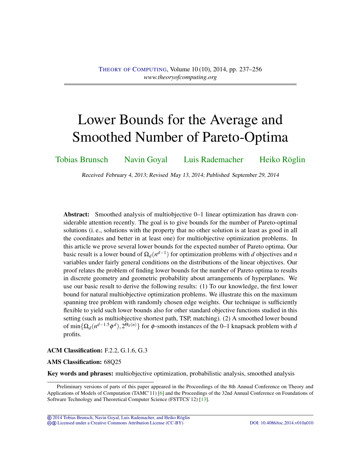# <span id="page-0-0"></span>Lower Bounds for the Average and Smoothed Number of Pareto-Optima

[Tobias Brunsch](#page-18-0) [Navin Goyal](#page-18-1) [Luis Rademacher](#page-18-2) [Heiko Röglin](#page-19-0)

Received February 4, 2013; Revised May 13, 2014; Published September 29, 2014

Abstract: Smoothed analysis of multiobjective 0–1 linear optimization has drawn considerable attention recently. The goal is to give bounds for the number of Pareto-optimal solutions (i. e., solutions with the property that no other solution is at least as good in all the coordinates and better in at least one) for multiobjective optimization problems. In this article we prove several lower bounds for the expected number of Pareto optima. Our basic result is a lower bound of  $\Omega_d(n^{d-1})$  for optimization problems with *d* objectives and *n* variables under fairly general conditions on the distributions of the linear objectives. Our proof relates the problem of finding lower bounds for the number of Pareto optima to results in discrete geometry and geometric probability about arrangements of hyperplanes. We use our basic result to derive the following results: (1) To our knowledge, the first lower bound for natural multiobjective optimization problems. We illustrate this on the maximum spanning tree problem with randomly chosen edge weights. Our technique is sufficiently flexible to yield such lower bounds also for other standard objective functions studied in this setting (such as multiobjective shortest path, TSP, matching). (2) A smoothed lower bound of min $\{\Omega_d(n^{d-1.5}\phi^d), 2^{\Theta_d(n)}\}$  for  $\phi$ -smooth instances of the 0–1 knapsack problem with *d* profits.

ACM Classification: F.2.2, G.1.6, G.3

#### AMS Classification: 68Q25

Key words and phrases: multiobjective optimization, probabilistic analysis, smoothed analysis

© [2014 Tobias Brunsch, Navin Goyal, Luis Rademacher, and Heiko Roglin](http://theoryofcomputing.org/copyright2009.html) ¨ cb [Licensed under a Creative Commons Attribution License \(CC-BY\)](http://creativecommons.org/licenses/by/3.0/) [DOI: 10.4086/toc.2014.v010a010](http://dx.doi.org/10.4086/toc.2014.v010a010)

Preliminary versions of parts of this paper appeared in the Proceedings of the 8th Annual Conference on Theory and Applications of Models of Computation (TAMC'11) [\[6\]](#page-17-0) and the Proceedings of the 32nd Annual Conference on Foundations of Software Technology and Theoretical Computer Science (FSTTCS'12) [\[13\]](#page-17-1).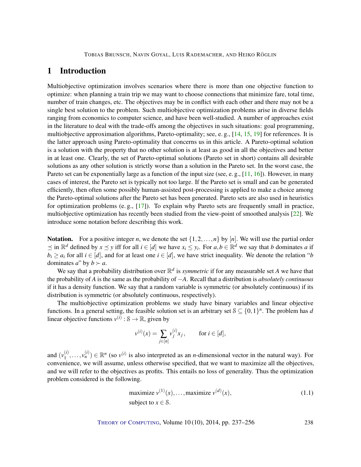# <span id="page-1-1"></span>1 Introduction

Multiobjective optimization involves scenarios where there is more than one objective function to optimize: when planning a train trip we may want to choose connections that minimize fare, total time, number of train changes, etc. The objectives may be in conflict with each other and there may not be a single best solution to the problem. Such multiobjective optimization problems arise in diverse fields ranging from economics to computer science, and have been well-studied. A number of approaches exist in the literature to deal with the trade-offs among the objectives in such situations: goal programming, multiobjective approximation algorithms, Pareto-optimality; see, e.g.,  $[14, 15, 19]$  $[14, 15, 19]$  $[14, 15, 19]$  $[14, 15, 19]$  $[14, 15, 19]$  for references. It is the latter approach using Pareto-optimality that concerns us in this article. A Pareto-optimal solution is a solution with the property that no other solution is at least as good in all the objectives and better in at least one. Clearly, the set of Pareto-optimal solutions (Pareto set in short) contains all desirable solutions as any other solution is strictly worse than a solution in the Pareto set. In the worst case, the Pareto set can be exponentially large as a function of the input size (see, e.g., [\[11,](#page-17-4) [16\]](#page-17-5)). However, in many cases of interest, the Pareto set is typically not too large. If the Pareto set is small and can be generated efficiently, then often some possibly human-assisted post-processing is applied to make a choice among the Pareto-optimal solutions after the Pareto set has been generated. Pareto sets are also used in heuristics for optimization problems (e.g.,  $[17]$ ). To explain why Pareto sets are frequently small in practice, multiobjective optimization has recently been studied from the view-point of smoothed analysis [\[22\]](#page-18-5). We introduce some notation before describing this work.

Notation. For a positive integer *n*, we denote the set  $\{1, 2, ..., n\}$  by  $[n]$ . We will use the partial order  $\leq$  in  $\mathbb{R}^d$  defined by *x*  $\leq$  *y* iff for all *i* ∈ [*d*] we have *x<sub>i</sub>* ≤ *y<sub>i</sub>*. For *a*,*b* ∈  $\mathbb{R}^d$  we say that *b* dominates *a* if  $b_i \ge a_i$  for all  $i \in [d]$ , and for at least one  $i \in [d]$ , we have strict inequality. We denote the relation "*b* dominates *a*" by  $b \succ a$ .

We say that a probability distribution over  $\mathbb{R}^d$  is *symmetric* if for any measurable set *A* we have that the probability of *A* is the same as the probability of −*A*. Recall that a distribution is *absolutely continuous* if it has a density function. We say that a random variable is symmetric (or absolutely continuous) if its distribution is symmetric (or absolutely continuous, respectively).

The multiobjective optimization problems we study have binary variables and linear objective functions. In a general setting, the feasible solution set is an arbitrary set  $S \subseteq \{0,1\}^n$ . The problem has *d* linear objective functions  $v^{(i)}$  :  $\mathcal{S} \to \mathbb{R}$ , given by

$$
v^{(i)}(x) = \sum_{j \in [n]} v_j^{(i)} x_j
$$
, for  $i \in [d]$ ,

and  $(v_1^{(i)}$  $\binom{i}{1}, \ldots, \binom{i}{n} \in \mathbb{R}^n$  (so  $v^{(i)}$  is also interpreted as an *n*-dimensional vector in the natural way). For convenience, we will assume, unless otherwise specified, that we want to maximize all the objectives, and we will refer to the objectives as profits. This entails no loss of generality. Thus the optimization problem considered is the following.

<span id="page-1-0"></span>maximize 
$$
v^{(1)}(x), \ldots
$$
, maximize  $v^{(d)}(x)$ ,  
subject to  $x \in S$ . (1.1)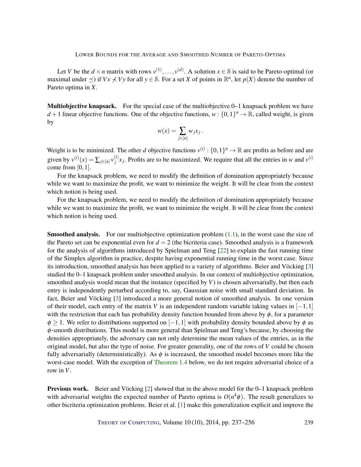<span id="page-2-0"></span>Let *V* be the  $d \times n$  matrix with rows  $v^{(1)}, \ldots, v^{(d)}$ . A solution  $x \in \mathcal{S}$  is said to be Pareto-optimal (or maximal under  $\preceq$ ) if  $Vx \nless Vy$  for all  $y \in S$ . For a set *X* of points in  $\mathbb{R}^n$ , let  $p(X)$  denote the number of Pareto optima in *X*.

Multiobjective knapsack. For the special case of the multiobjective 0–1 knapsack problem we have *d* + 1 linear objective functions. One of the objective functions,  $w : \{0,1\}^n \to \mathbb{R}$ , called weight, is given by

$$
w(x) = \sum_{j \in [n]} w_j x_j.
$$

Weight is to be minimized. The other *d* objective functions  $v^{(i)}$  :  $\{0,1\}^n \to \mathbb{R}$  are profits as before and are given by  $v^{(i)}(x) = \sum_{j \in [n]} v_j^{(i)}$  $y_j^{(i)}$ , Profits are to be maximized. We require that all the entries in *w* and  $v^{(i)}$ come from [0,1].

For the knapsack problem, we need to modify the definition of domination appropriately because while we want to maximize the profit, we want to minimize the weight. It will be clear from the context which notion is being used.

For the knapsack problem, we need to modify the definition of domination appropriately because while we want to maximize the profit, we want to minimize the weight. It will be clear from the context which notion is being used.

**Smoothed analysis.** For our multiobjective optimization problem  $(1.1)$ , in the worst case the size of the Pareto set can be exponential even for  $d = 2$  (the bicriteria case). Smoothed analysis is a framework for the analysis of algorithms introduced by Spielman and Teng [\[22\]](#page-18-5) to explain the fast running time of the Simplex algorithm in practice, despite having exponential running time in the worst case. Since its introduction, smoothed analysis has been applied to a variety of algorithms. Beier and Vöcking [\[3\]](#page-16-0) studied the 0–1 knapsack problem under smoothed analysis. In our context of multiobjective optimization, smoothed analysis would mean that the instance (specified by *V*) is chosen adversarially, but then each entry is independently perturbed according to, say, Gaussian noise with small standard deviation. In fact, Beier and Vöcking [\[3\]](#page-16-0) introduced a more general notion of smoothed analysis. In one version of their model, each entry of the matrix *V* is an independent random variable taking values in [−1,1] with the restriction that each has probability density function bounded from above by  $\phi$ , for a parameter  $\phi \geq 1$ . We refer to distributions supported on [-1,1] with probability density bounded above by  $\phi$  as φ-smooth distributions. This model is more general than Spielman and Teng's because, by choosing the densities appropriately, the adversary can not only determine the mean values of the entries, as in the original model, but also the type of noise. For greater generality, one of the rows of *V* could be chosen fully adversarially (deterministically). As  $\phi$  is increased, the smoothed model becomes more like the worst-case model. With the exception of [Theorem](#page-5-0) [1.4](#page-5-0) below, we do not require adversarial choice of a row in *V*.

Previous work. Beier and Vöcking [\[2\]](#page-16-1) showed that in the above model for the 0–1 knapsack problem with adversarial weights the expected number of Pareto optima is  $O(n^4\phi)$ . The result generalizes to other bicriteria optimization problems. Beier et al. [\[1\]](#page-16-2) make this generalization explicit and improve the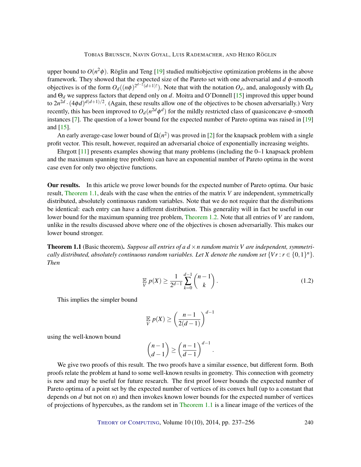<span id="page-3-1"></span>upper bound to  $O(n^2\phi)$ . Röglin and Teng [\[19\]](#page-18-3) studied multiobjective optimization problems in the above framework. They showed that the expected size of the Pareto set with one adversarial and *d* φ-smooth objectives is of the form  $O_d((n\phi)^{2^{d-2}(d+1)!})$ . Note that with the notation  $O_d$ , and, analogously with  $\Omega_d$ and Θ*<sup>d</sup>* we suppress factors that depend only on *d*. Moitra and O'Donnell [\[15\]](#page-17-3) improved this upper bound to  $2n^{2d} \cdot (4\phi d)^{d(d+1)/2}$ . (Again, these results allow one of the objectives to be chosen adversarially.) Very recently, this has been improved to  $O_d(n^{2d}\phi^d)$  for the mildly restricted class of quasiconcave  $\phi$ -smooth instances [\[7\]](#page-17-6). The question of a lower bound for the expected number of Pareto optima was raised in [\[19\]](#page-18-3) and [\[15\]](#page-17-3).

An early average-case lower bound of  $\Omega(n^2)$  was proved in [\[2\]](#page-16-1) for the knapsack problem with a single profit vector. This result, however, required an adversarial choice of exponentially increasing weights.

Ehrgott [\[11\]](#page-17-4) presents examples showing that many problems (including the 0–1 knapsack problem and the maximum spanning tree problem) can have an exponential number of Pareto optima in the worst case even for only two objective functions.

Our results. In this article we prove lower bounds for the expected number of Pareto optima. Our basic result, [Theorem](#page-3-0) [1.1,](#page-3-0) deals with the case when the entries of the matrix *V* are independent, symmetrically distributed, absolutely continuous random variables. Note that we do not require that the distributions be identical: each entry can have a different distribution. This generality will in fact be useful in our lower bound for the maximum spanning tree problem, [Theorem](#page-4-0) [1.2.](#page-4-0) Note that all entries of *V* are random, unlike in the results discussed above where one of the objectives is chosen adversarially. This makes our lower bound stronger.

<span id="page-3-0"></span>**Theorem 1.1** (Basic theorem). Suppose all entries of a  $d \times n$  random matrix V are independent, symmetri*cally distributed, absolutely continuous random variables. Let X denote the random set*  $\{Vr : r \in \{0,1\}^n\}$ . *Then*

$$
\mathbb{E}_V p(X) \ge \frac{1}{2^{d-1}} \sum_{k=0}^{d-1} {n-1 \choose k}.
$$
\n(1.2)

.

This implies the simpler bound

$$
\mathop{\mathbb{E}}_{V} p(X) \ge \left(\frac{n-1}{2(d-1)}\right)^{d-1}
$$

using the well-known bound

$$
\binom{n-1}{d-1} \ge \left(\frac{n-1}{d-1}\right)^{d-1}
$$

We give two proofs of this result. The two proofs have a similar essence, but different form. Both proofs relate the problem at hand to some well-known results in geometry. This connection with geometry is new and may be useful for future research. The first proof lower bounds the expected number of Pareto optima of a point set by the expected number of vertices of its convex hull (up to a constant that depends on *d* but not on *n*) and then invokes known lower bounds for the expected number of vertices of projections of hypercubes, as the random set in [Theorem](#page-3-0) [1.1](#page-3-0) is a linear image of the vertices of the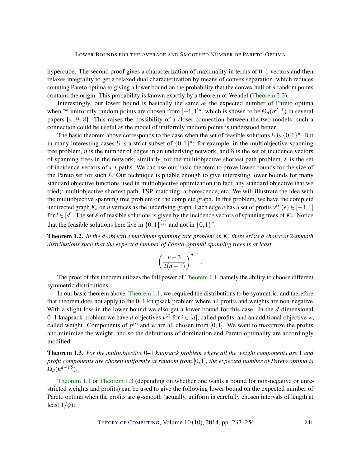<span id="page-4-2"></span>hypercube. The second proof gives a characterization of maximality in terms of 0–1 vectors and then relaxes integrality to get a relaxed dual characterization by means of convex separation, which reduces counting Pareto optima to giving a lower bound on the probability that the convex hull of *n* random points contains the origin. This probability is known exactly by a theorem of Wendel [\(Theorem](#page-6-0) [2.2\)](#page-6-0).

Interestingly, our lower bound is basically the same as the expected number of Pareto optima when  $2^n$  uniformly random points are chosen from  $[-1,1]^d$ , which is shown to be  $\Theta_d(n^{d-1})$  in several papers [\[4,](#page-17-7) [9,](#page-17-8) [8\]](#page-17-9). This raises the possibility of a closer connection between the two models; such a connection could be useful as the model of uniformly random points is understood better.

The basic theorem above corresponds to the case when the set of feasible solutions  $\delta$  is  $\{0,1\}^n$ . But in many interesting cases S is a strict subset of  $\{0,1\}^n$ : for example, in the multiobjective spanning tree problem, *n* is the number of edges in an underlying network, and S is the set of incidence vectors of spanning trees in the network; similarly, for the multiobjective shortest path problem, S is the set of incidence vectors of *s*–*t* paths. We can use our basic theorem to prove lower bounds for the size of the Pareto set for such S. Our technique is pliable enough to give interesting lower bounds for many standard objective functions used in multiobjective optimization (in fact, any standard objective that we tried): multiobjective shortest path, TSP, matching, arborescence, etc. We will illustrate the idea with the multiobjective spanning tree problem on the complete graph. In this problem, we have the complete undirected graph  $K_n$  on *n* vertices as the underlying graph. Each edge *e* has a set of profits  $v^{(i)}(e) \in [-1,1]$ for  $i \in [d]$ . The set S of feasible solutions is given by the incidence vectors of spanning trees of  $K_n$ . Notice that the feasible solutions here live in  $\{0,1\}^{n \choose 2}$  and not in  $\{0,1\}^n$ .

<span id="page-4-0"></span>Theorem 1.2. *In the d-objective maximum spanning tree problem on K<sup>n</sup> there exists a choice of* 2*-smooth distributions such that the expected number of Pareto-optimal spanning trees is at least*

$$
\left(\frac{n-3}{2(d-1)}\right)^{d-1}.
$$

The proof of this theorem utilizes the full power of [Theorem](#page-3-0) [1.1,](#page-3-0) namely the ability to choose different symmetric distributions.

In our basic theorem above, [Theorem](#page-3-0) [1.1,](#page-3-0) we required the distributions to be symmetric, and therefore that theorem does not apply to the 0–1 knapsack problem where all profits and weights are non-negative. With a slight loss in the lower bound we also get a lower bound for this case. In the *d*-dimensional 0–1 knapsack problem we have *d* objectives  $v^{(i)}$  for  $i \in [d]$ , called profits, and an additional objective *w*, called weight. Components of  $p^{(i)}$  and *w* are all chosen from [0,1]. We want to maximize the profits and minimize the weight, and so the definitions of domination and Pareto-optimality are accordingly modified.

<span id="page-4-1"></span>Theorem 1.3. *For the multiobjective* 0*–*1 *knapsack problem where all the weight components are* 1 *and profit components are chosen uniformly at random from* [0,1]*, the expected number of Pareto optima is*  $\Omega_d(n^{d-1.5})$ .

[Theorem](#page-3-0) [1.1](#page-3-0) or [Theorem](#page-4-1) [1.3](#page-4-1) (depending on whether one wants a bound for non-negative or unrestricted weights and profits) can be used to give the following lower bound on the expected number of Pareto optima when the profits are  $\phi$ -smooth (actually, uniform in carefully chosen intervals of length at least  $1/\phi$ ):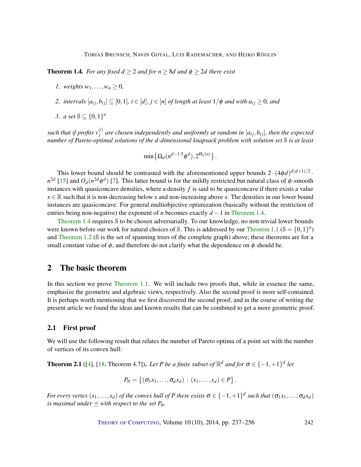<span id="page-5-2"></span><span id="page-5-0"></span>**Theorem 1.4.** *For any fixed*  $d \geq 2$  *and for n*  $\geq 8d$  *and*  $\phi \geq 2d$  *there exist* 

- *1. weights*  $w_1, \ldots, w_n > 0$ *,*
- 2. *intervals*  $[a_{ij}, b_{ij}] \subseteq [0, 1]$ *, i* ∈ [*d*], *j* ∈ [*n*] *of length at least*  $1/\phi$  *and with*  $a_{ij} \ge 0$ *, and*
- *3. a set*  $\mathcal{S} \subseteq \{0,1\}^n$

such that if profits  $v_i^{(i)}$  $j$ <sup>*i*</sup>) are chosen independently and uniformly at random in  $[a_{ij}, b_{ij}]$ , then the expected *number of Pareto-optimal solutions of the d-dimensional knapsack problem with solution set* S *is at least*

$$
\min\bigl\{\Omega_d(n^{d-1.5}\phi^d),2^{\Theta_d(n)}\bigr\}\,.
$$

This lower bound should be contrasted with the aforementioned upper bounds  $2 \cdot (4\phi d)^{d(d+1)/2}$ .  $n^{2d}$  [\[15\]](#page-17-3) and  $O_d(n^{2d}\phi^d)$  [\[7\]](#page-17-6). This latter bound is for the mildly restricted but natural class of  $\phi$ -smooth instances with quasiconcave densities, where a density *f* is said to be quasiconcave if there exists a value  $x \in \mathbb{R}$  such that it is non-decreasing below *x* and non-increasing above *x*. The densities in our lower bound instances are quasiconcave. For general multiobjective optimization (basically without the restriction of entries being non-negative) the exponent of *n* becomes exactly *d* −1 in [Theorem](#page-5-0) [1.4.](#page-5-0)

[Theorem](#page-5-0) [1.4](#page-5-0) requires S to be chosen adversarially. To our knowledge, no non-trivial lower bounds were known before our work for natural choices of S. This is addressed by our [Theorem](#page-3-0) [1.1](#page-3-0) ( $\delta = \{0,1\}^n$ ) and [Theorem](#page-4-0) [1.2](#page-4-0) (S is the set of spanning trees of the complete graph) above; these theorems are for a small constant value of  $\phi$ , and therefore do not clarify what the dependence on  $\phi$  should be.

#### 2 The basic theorem

In this section we prove [Theorem](#page-3-0) [1.1.](#page-3-0) We will include two proofs that, while in essence the same, emphasize the geometric and algebraic views, respectively. Also the second proof is more self-contained. It is perhaps worth mentioning that we first discovered the second proof, and in the course of writing the present article we found the ideas and known results that can be combined to get a more geometric proof.

#### 2.1 First proof

We will use the following result that relates the number of Pareto optima of a point set with the number of vertices of its convex hull:

<span id="page-5-1"></span>**Theorem 2.1** ([\[4\]](#page-17-7), [\[18,](#page-18-6) Theorem 4.7]). Let P be a finite subset of  $\mathbb{R}^d$  and for  $\sigma \in \{-1, +1\}^d$  let

$$
P_{\sigma} = \left\{ (\sigma_1 x_1, \ldots, \sigma_d x_d) : (x_1, \ldots, x_d) \in P \right\}.
$$

*For every vertex*  $(x_1,...,x_d)$  *of the convex hull of P there exists*  $\sigma \in \{-1,+1\}^d$  *such that*  $(\sigma_1x_1,...,\sigma_dx_d)$ *is maximal under*  $\preceq$  *with respect to the set*  $P_{\sigma}$ *.*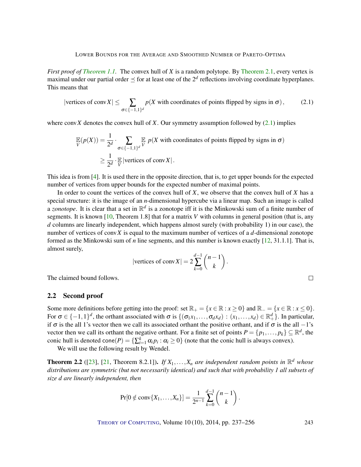<span id="page-6-2"></span>*First proof of [Theorem](#page-3-0) [1.1.](#page-3-0)* The convex hull of *X* is a random polytope. By [Theorem](#page-5-1) [2.1,](#page-5-1) every vertex is maximal under our partial order  $\preceq$  for at least one of the  $2^d$  reflections involving coordinate hyperplanes. This means that

<span id="page-6-1"></span>|vertices of 
$$
\text{conv } X \leq \sum_{\sigma \in \{-1,1\}^d} p(X \text{ with coordinates of points flipped by signs in } \sigma),
$$
 (2.1)

where conv $\bar{X}$  denotes the convex hull of  $\bar{X}$ . Our symmetry assumption followed by  $(2.1)$  implies

$$
\mathbb{E}(p(X)) = \frac{1}{2^d} \cdot \sum_{\sigma \in \{-1,1\}^d} \mathbb{E}_{V} p(X \text{ with coordinates of points flipped by signs in } \sigma)
$$
  
\n
$$
\geq \frac{1}{2^d} \cdot \mathbb{E}_{V} |\text{vertices of } \text{conv } X|.
$$

This idea is from [\[4\]](#page-17-7). It is used there in the opposite direction, that is, to get upper bounds for the expected number of vertices from upper bounds for the expected number of maximal points.

In order to count the vertices of the convex hull of *X*, we observe that the convex hull of *X* has a special structure: it is the image of an *n*-dimensional hypercube via a linear map. Such an image is called a *zonotope*. It is clear that a set in  $\mathbb{R}^d$  is a zonotope iff it is the Minkowski sum of a finite number of segments. It is known [\[10,](#page-17-10) Theorem 1.8] that for a matrix *V* with columns in general position (that is, any *d* columns are linearly independent, which happens almost surely (with probability 1) in our case), the number of vertices of conv*X* is equal to the maximum number of vertices of a *d*-dimensional zonotope formed as the Minkowski sum of *n* line segments, and this number is known exactly [\[12,](#page-17-11) 31.1.1]. That is, almost surely,

|vertices of 
$$
\text{conv } X \vert = 2 \sum_{k=0}^{d-1} {n-1 \choose k}
$$
.

The claimed bound follows.

#### 2.2 Second proof

Some more definitions before getting into the proof: set  $\mathbb{R}_+ = \{x \in \mathbb{R} : x \ge 0\}$  and  $\mathbb{R}_- = \{x \in \mathbb{R} : x \le 0\}$ . For  $\sigma \in \{-1,1\}^d$ , the orthant associated with  $\sigma$  is  $\{(\sigma_1x_1,\ldots,\sigma_dx_d) : (x_1,\ldots,x_d) \in \mathbb{R}^d_+\}$ . In particular, if  $\sigma$  is the all 1's vector then we call its associated orthant the positive orthant, and if  $\sigma$  is the all −1's vector then we call its orthant the negative orthant. For a finite set of points  $P = \{p_1, \ldots, p_k\} \subseteq \mathbb{R}^d$ , the conic hull is denoted cone $(P) = \{\sum_{i=1}^{k} \alpha_i p_i : \alpha_i \ge 0\}$  (note that the conic hull is always convex).

We will use the following result by Wendel.

<span id="page-6-0"></span>**Theorem 2.2** ([\[23\]](#page-18-7), [\[21,](#page-18-8) Theorem 8.2.1]). *If*  $X_1, \ldots, X_n$  *are independent random points in*  $\mathbb{R}^d$  *whose distributions are symmetric (but not necessarily identical) and such that with probability 1 all subsets of size d are linearly independent, then*

$$
Pr[0 \notin conv\{X_1, \ldots, X_n\}] = \frac{1}{2^{n-1}} \sum_{k=0}^{d-1} {n-1 \choose k}.
$$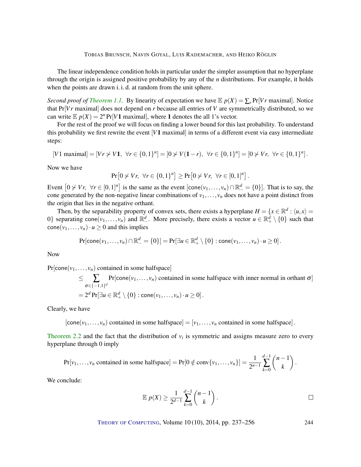The linear independence condition holds in particular under the simpler assumption that no hyperplane through the origin is assigned positive probability by any of the *n* distributions. For example, it holds when the points are drawn i. i. d. at random from the unit sphere.

*Second proof of [Theorem](#page-3-0) [1.1.](#page-3-0)* By linearity of expectation we have  $\mathbb{E} p(X) = \sum_{r} Pr[V r \text{ maximal}]$ . Notice that Pr[*V r* maximal] does not depend on *r* because all entries of *V* are symmetrically distributed, so we can write  $E p(X) = 2^n Pr[V1 \text{ maximal}],$  where 1 denotes the all 1's vector.

For the rest of the proof we will focus on finding a lower bound for this last probability. To understand this probability we first rewrite the event [*V*1 maximal] in terms of a different event via easy intermediate steps:

$$
[V1 \text{ maximal}] = [Vr \nsim V1, \ \forall r \in \{0,1\}^n] = [0 \nsim V(1-r), \ \forall r \in \{0,1\}^n] = [0 \nsim Vr, \ \forall r \in \{0,1\}^n].
$$

Now we have

$$
Pr[0 \nless Vr, \forall r \in \{0,1\}^n] \geq Pr[0 \nless Vr, \forall r \in [0,1]^n].
$$

Event  $[0 \nless Vr, \forall r \in [0,1]^n]$  is the same as the event  $[cone(v_1,\ldots,v_n) \cap \mathbb{R}^d_+ = \{0\}]$ . That is to say, the cone generated by the non-negative linear combinations of  $v_1, \ldots, v_n$  does not have a point distinct from the origin that lies in the negative orthant.

Then, by the separability property of convex sets, there exists a hyperplane  $H = \{x \in \mathbb{R}^d : \langle u, x \rangle = 0\}$ 0} separating cone $(v_1,..., v_n)$  and  $\mathbb{R}^d_-$ . More precisely, there exists a vector  $u \in \mathbb{R}^d_+ \setminus \{0\}$  such that  $cone(v_1, \ldots, v_n) \cdot u \geq 0$  and this implies

$$
\Pr[\mathsf{cone}(v_1,\ldots,v_n)\cap\mathbb{R}^d_-=\{0\}]=\Pr[\exists u\in\mathbb{R}^d_+\setminus\{0\}:\mathsf{cone}(v_1,\ldots,v_n)\cdot u\geq 0].
$$

Now

 $Pr[cone(v_1, \ldots, v_n)]$  contained in some halfspace]

 $\leq \sum_{\sigma \in \{-1,1\}^d} \Pr[\text{cone}(v_1,\ldots,v_n)]$  contained in some halfspace with inner normal in orthant  $\sigma]$  $= 2^d \Pr[\exists u\in \mathbb{R}^d_+\setminus\{0\}:\mathsf{cone}(v_1,\ldots,v_n)\cdot u\geq 0]\,.$ 

Clearly, we have

 $[cone(v_1,..., v_n)]$  contained in some halfspace] =  $[v_1,..., v_n]$  contained in some halfspace].

[Theorem](#page-6-0) [2.2](#page-6-0) and the fact that the distribution of  $v_i$  is symmetric and assigns measure zero to every hyperplane through 0 imply

$$
Pr[v_1,\ldots,v_n \text{ contained in some halfspace}] = Pr[0 \notin conv\{v_1,\ldots,v_n\}] = \frac{1}{2^{n-1}} \sum_{k=0}^{d-1} {n-1 \choose k}.
$$

We conclude:

$$
\mathbb{E}\;p(X)\geq \frac{1}{2^{d-1}}\sum_{k=0}^{d-1}\binom{n-1}{k}.
$$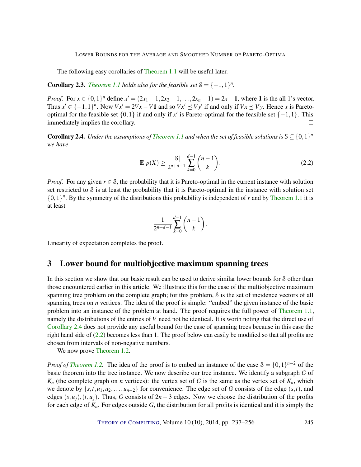The following easy corollaries of [Theorem](#page-3-0) [1.1](#page-3-0) will be useful later.

<span id="page-8-2"></span>**Corollary 2.3.** *[Theorem](#page-3-0) [1.1](#page-3-0) holds also for the feasible set*  $S = \{-1, 1\}^n$ *.* 

*Proof.* For  $x \in \{0,1\}^n$  define  $x' = (2x_1 - 1, 2x_2 - 1, \ldots, 2x_n - 1) = 2x - 1$ , where 1 is the all 1's vector. Thus  $x' \in \{-1,1\}^n$ . Now  $Vx' = 2Vx - V1$  and so  $Vx' \leq Vy'$  if and only if  $Vx \leq Vy$ . Hence *x* is Paretooptimal for the feasible set  $\{0,1\}$  if and only if x' is Pareto-optimal for the feasible set  $\{-1,1\}$ . This immediately implies the corollary.  $\Box$ 

<span id="page-8-0"></span>**Corollary 2.4.** Under the assumptions of *[Theorem](#page-3-0) [1.1](#page-3-0)* and when the set of feasible solutions is  $S \subseteq \{0,1\}^n$ *we have*

$$
\mathbb{E}\,p(X) \ge \frac{|S|}{2^{n+d-1}} \sum_{k=0}^{d-1} \binom{n-1}{k}.\tag{2.2}
$$

*Proof.* For any given  $r \in S$ , the probability that it is Pareto-optimal in the current instance with solution set restricted to S is at least the probability that it is Pareto-optimal in the instance with solution set  $\{0,1\}^n$ . By the symmetry of the distributions this probability is independent of *r* and by [Theorem](#page-3-0) [1.1](#page-3-0) it is at least

$$
\frac{1}{2^{n+d-1}}\sum_{k=0}^{d-1} \binom{n-1}{k}.
$$

Linearity of expectation completes the proof.

### 3 Lower bound for multiobjective maximum spanning trees

In this section we show that our basic result can be used to derive similar lower bounds for S other than those encountered earlier in this article. We illustrate this for the case of the multiobjective maximum spanning tree problem on the complete graph; for this problem, S is the set of incidence vectors of all spanning trees on *n* vertices. The idea of the proof is simple: "embed" the given instance of the basic problem into an instance of the problem at hand. The proof requires the full power of [Theorem](#page-3-0) [1.1,](#page-3-0) namely the distributions of the entries of *V* need not be identical. It is worth noting that the direct use of [Corollary](#page-8-0) [2.4](#page-8-0) does not provide any useful bound for the case of spanning trees because in this case the right hand side of [\(2.2\)](#page-8-1) becomes less than 1. The proof below can easily be modified so that all profits are chosen from intervals of non-negative numbers.

We now prove [Theorem](#page-4-0) [1.2.](#page-4-0)

*Proof of [Theorem](#page-4-0) [1.2.](#page-4-0)* The idea of the proof is to embed an instance of the case  $S = \{0,1\}^{n-2}$  of the basic theorem into the tree instance. We now describe our tree instance. We identify a subgraph *G* of  $K_n$  (the complete graph on *n* vertices): the vertex set of *G* is the same as the vertex set of  $K_n$ , which we denote by  $\{s, t, u_1, u_2, \ldots, u_{n-2}\}$  for convenience. The edge set of *G* consists of the edge  $(s, t)$ , and edges  $(s, u_i)$ ,  $(t, u_i)$ . Thus, *G* consists of  $2n - 3$  edges. Now we choose the distribution of the profits for each edge of *Kn*. For edges outside *G*, the distribution for all profits is identical and it is simply the

THEORY OF C[OMPUTING](http://dx.doi.org/10.4086/toc), Volume 10 (10), 2014, pp. 237–256 245

<span id="page-8-1"></span> $\Box$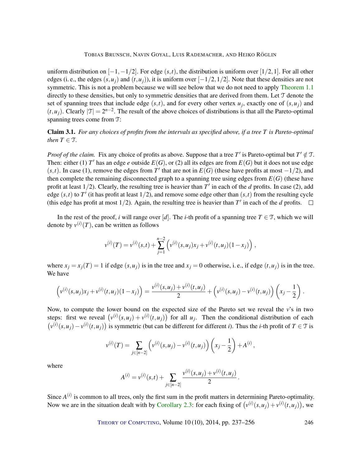uniform distribution on  $[-1, -1/2]$ . For edge  $(s, t)$ , the distribution is uniform over  $[1/2, 1]$ . For all other edges (i. e., the edges  $(s, u_i)$  and  $(t, u_i)$ ), it is uniform over  $[-1/2, 1/2]$ . Note that these densities are not symmetric. This is not a problem because we will see below that we do not need to apply [Theorem](#page-3-0) [1.1](#page-3-0) directly to these densities, but only to symmetric densities that are derived from them. Let T denote the set of spanning trees that include edge  $(s,t)$ , and for every other vertex  $u_j$ , exactly one of  $(s, u_j)$  and  $(t, u_j)$ . Clearly  $|\mathcal{T}| = 2^{n-2}$ . The result of the above choices of distributions is that all the Pareto-optimal spanning trees come from T:

Claim 3.1. *For any choices of profits from the intervals as specified above, if a tree T is Pareto-optimal then*  $T \in \mathcal{T}$ *.* 

*Proof of the claim.* Fix any choice of profits as above. Suppose that a tree T' is Pareto-optimal but  $T' \notin \mathcal{T}$ . Then: either (1)  $T'$  has an edge  $e$  outside  $E(G)$ , or (2) all its edges are from  $E(G)$  but it does not use edge  $(s,t)$ . In case (1), remove the edges from *T*<sup>'</sup> that are not in  $E(G)$  (these have profits at most  $-1/2$ ), and then complete the remaining disconnected graph to a spanning tree using edges from  $E(G)$  (these have profit at least  $1/2$ ). Clearly, the resulting tree is heavier than  $T'$  in each of the *d* profits. In case (2), add edge  $(s,t)$  to  $T'$  (it has profit at least  $1/2$ ), and remove some edge other than  $(s,t)$  from the resulting cycle (this edge has profit at most  $1/2$ ). Again, the resulting tree is heavier than  $T'$  in each of the *d* profits.

In the rest of the proof, *i* will range over [*d*]. The *i*-th profit of a spanning tree  $T \in \mathcal{T}$ , which we will denote by  $v^{(i)}(T)$ , can be written as follows

$$
v^{(i)}(T) = v^{(i)}(s,t) + \sum_{j=1}^{n-2} \left( v^{(i)}(s,u_j)x_j + v^{(i)}(t,u_j)(1-x_j) \right),
$$

where  $x_j = x_j(T) = 1$  if edge  $(s, u_j)$  is in the tree and  $x_j = 0$  otherwise, i. e., if edge  $(t, u_j)$  is in the tree. We have

$$
\left(v^{(i)}(s,u_j)x_j + v^{(i)}(t,u_j)(1-x_j)\right) = \frac{v^{(i)}(s,u_j) + v^{(i)}(t,u_j)}{2} + \left(v^{(i)}(s,u_j) - v^{(i)}(t,u_j)\right)\left(x_j - \frac{1}{2}\right).
$$

Now, to compute the lower bound on the expected size of the Pareto set we reveal the *v*'s in two steps: first we reveal  $(v^{(i)}(s, u_j) + v^{(i)}(t, u_j))$  for all  $u_j$ . Then the conditional distribution of each  $(v^{(i)}(s, u_j) - v^{(i)}(t, u_j))$  is symmetric (but can be different for different *i*). Thus the *i*-th profit of *T* ∈ *T* is

$$
v^{(i)}(T) = \sum_{j \in [n-2]} \left( v^{(i)}(s, u_j) - v^{(i)}(t, u_j) \right) \left( x_j - \frac{1}{2} \right) + A^{(i)},
$$

where

$$
A^{(i)} = v^{(i)}(s,t) + \sum_{j \in [n-2]} \frac{v^{(i)}(s,u_j) + v^{(i)}(t,u_j)}{2}.
$$

Since  $A^{(i)}$  is common to all trees, only the first sum in the profit matters in determining Pareto-optimality. Now we are in the situation dealt with by [Corollary](#page-8-2) [2.3:](#page-8-2) for each fixing of  $(v^{(i)}(s, u_j) + v^{(i)}(t, u_j))$ , we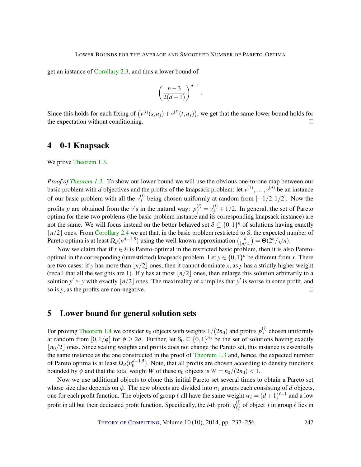get an instance of [Corollary](#page-8-2) [2.3,](#page-8-2) and thus a lower bound of

$$
\left(\frac{n-3}{2(d-1)}\right)^{d-1}.
$$

Since this holds for each fixing of  $(v^{(i)}(s, u_j) + v^{(i)}(t, u_j))$ , we get that the same lower bound holds for the expectation without conditioning.  $\Box$ 

### 4 0-1 Knapsack

We prove [Theorem](#page-4-1) [1.3.](#page-4-1)

*Proof of [Theorem](#page-4-1) [1.3.](#page-4-1)* To show our lower bound we will use the obvious one-to-one map between our basic problem with *d* objectives and the profits of the knapsack problem: let  $v^{(1)}, \ldots, v^{(d)}$  be an instance of our basic problem with all the  $v_i^{(i)}$ *j*<sup>(*i*</sup>) being chosen uniformly at random from  $[-1/2,1/2]$ . Now the profits *p* are obtained from the *v*'s in the natural way:  $p_j^{(i)} = v_j^{(i)} + 1/2$ . In general, the set of Pareto optima for these two problems (the basic problem instance and its corresponding knapsack instance) are not the same. We will focus instead on the better behaved set  $S \subseteq \{0,1\}^n$  of solutions having exactly  $|n/2|$  ones. From [Corollary](#page-8-0) [2.4](#page-8-0) we get that, in the basic problem restricted to S, the expected number of Pareto optima is at least  $\Omega_d(n^{d-1.5})$  using the well-known approximation  $\binom{n}{n}$  $\begin{pmatrix} n \\ \frac{n}{2} \end{pmatrix} = \Theta(2^n/\sqrt{n}).$ 

Now we claim that if  $x \in S$  is Pareto-optimal in the restricted basic problem, then it is also Paretooptimal in the corresponding (unrestricted) knapsack problem. Let  $y \in \{0,1\}^n$  be different from *x*. There are two cases: if *y* has more than  $\frac{n}{2}$  ones, then it cannot dominate *x*, as *y* has a strictly higher weight (recall that all the weights are 1). If *y* has at most  $\vert n/2 \vert$  ones, then enlarge this solution arbitrarily to a solution  $y' \geq y$  with exactly  $|n/2|$  ones. The maximality of *x* implies that y' is worse in some profit, and so is *y*, as the profits are non-negative.  $\Box$ 

## 5 Lower bound for general solution sets

For proving [Theorem](#page-5-0) [1.4](#page-5-0) we consider  $n_0$  objects with weights  $1/(2n_0)$  and profits  $p_j^{(i)}$  $j^{(l)}$  chosen uniformly at random from  $[0,1/\phi]$  for  $\phi \geq 2d$ . Further, let  $S_0 \subseteq \{0,1\}^{n_0}$  be the set of solutions having exactly  $n_0/2$  ones. Since scaling weights and profits does not change the Pareto set, this instance is essentially the same instance as the one constructed in the proof of [Theorem](#page-4-1) [1.3](#page-4-1) and, hence, the expected number of Pareto optima is at least  $\Omega_d(n_0^{d-1.5})$ . Note, that all profits are chosen according to density functions bounded by  $\phi$  and that the total weight *W* of these  $n_0$  objects is  $W = n_0/(2n_0) < 1$ .

Now we use additional objects to clone this initial Pareto set several times to obtain a Pareto set whose size also depends on  $\phi$ . The new objects are divided into  $n_1$  groups each consisting of *d* objects, one for each profit function. The objects of group  $\ell$  all have the same weight  $w_{\ell} = (d+1)^{\ell-1}$  and a low profit in all but their dedicated profit function. Specifically, the *i*-th profit  $q_{\ell i}^{(i)}$  $\ell_j^{(l)}$  of object *j* in group  $\ell$  lies in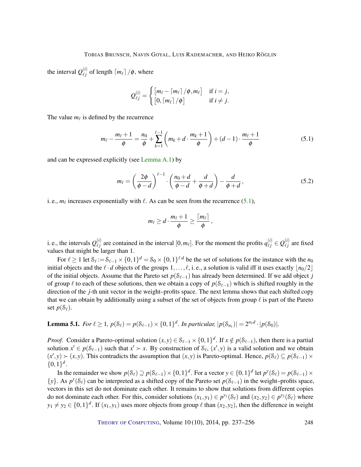the interval  $Q_{\ell}^{(i)}$  $\binom{u}{\ell j}$  of length  $\lceil m_\ell \rceil / \phi$ , where

$$
Q_{\ell j}^{(i)} = \begin{cases} \left[m_{\ell} - \left\lceil m_{\ell} \right\rceil / \phi, m_{\ell} \right] & \text{if } i = j, \\ \left[0, \left\lceil m_{\ell} \right\rceil / \phi \right] & \text{if } i \neq j. \end{cases}
$$

The value  $m_\ell$  is defined by the recurrence

<span id="page-11-0"></span>
$$
m_{\ell} - \frac{m_{\ell} + 1}{\phi} = \frac{n_0}{\phi} + \sum_{k=1}^{\ell-1} \left( m_k + d \cdot \frac{m_k + 1}{\phi} \right) + (d - 1) \cdot \frac{m_{\ell} + 1}{\phi} \tag{5.1}
$$

and can be expressed explicitly (see [Lemma](#page-15-0) [A.1\)](#page-15-0) by

<span id="page-11-2"></span>
$$
m_{\ell} = \left(\frac{2\phi}{\phi - d}\right)^{\ell - 1} \cdot \left(\frac{n_0 + d}{\phi - d} + \frac{d}{\phi + d}\right) - \frac{d}{\phi + d},\tag{5.2}
$$

i. e.,  $m_\ell$  increases exponentially with  $\ell$ . As can be seen from the recurrence [\(5.1\)](#page-11-0),

$$
m_{\ell}\geq d\cdot\frac{m_{\ell}+1}{\phi}\geq \frac{\lceil m_{\ell}\rceil}{\phi}\,,
$$

i. e., the intervals  $Q_{\ell i}^{(i)}$  $\ell_j^{(i)}$  are contained in the interval  $[0, m_\ell]$ . For the moment the profits  $q_{\ell j}^{(i)} \in Q_{\ell j}^{(i)}$  $\ell_j^{(i)}$  are fixed values that might be larger than 1.

For  $\ell \ge 1$  let  $\delta_{\ell} := \delta_{\ell-1} \times \{0,1\}^d = \delta_0 \times \{0,1\}^{\ell \cdot d}$  be the set of solutions for the instance with the  $n_0$ initial objects and the  $\ell \cdot d$  objects of the groups  $1,\ldots,\ell$ , i.e., a solution is valid iff it uses exactly  $\lfloor n_0/2 \rfloor$ of the initial objects. Assume that the Pareto set *p*(S`−1) has already been determined. If we add object *j* of group  $\ell$  to each of these solutions, then we obtain a copy of  $p(S_{\ell-1})$  which is shifted roughly in the direction of the *j*-th unit vector in the weight–profits space. The next lemma shows that each shifted copy that we can obtain by additionally using a subset of the set of objects from group  $\ell$  is part of the Pareto set  $p(S_\ell)$ .

<span id="page-11-1"></span>**Lemma 5.1.** *For*  $\ell \ge 1$ ,  $p(\mathcal{S}_{\ell}) = p(\mathcal{S}_{\ell-1}) \times \{0,1\}^d$ . *In particular*,  $|p(\mathcal{S}_{n_1})| = 2^{n_1 d} \cdot |p(\mathcal{S}_0)|$ .

*Proof.* Consider a Pareto-optimal solution  $(x, y) \in S_{\ell-1} \times \{0, 1\}^d$ . If  $x \notin p(S_{\ell-1})$ , then there is a partial solution  $x' \in p(S_{\ell-1})$  such that  $x' \succ x$ . By construction of  $S_{\ell}$ ,  $(x', y)$  is a valid solution and we obtain  $(x', y) \succ (x, y)$ . This contradicts the assumption that  $(x, y)$  is Pareto-optimal. Hence,  $p(\mathcal{S}_{\ell}) \subseteq p(\mathcal{S}_{\ell-1}) \times$  $\{0,1\}^d$ .

In the remainder we show  $p(\mathcal{S}_{\ell}) \supseteq p(\mathcal{S}_{\ell-1}) \times \{0,1\}^d$ . For a vector  $y \in \{0,1\}^d$  let  $p^y(\mathcal{S}_{\ell}) = p(\mathcal{S}_{\ell-1}) \times$ {*y*}. As  $p^y$ (S<sub>ℓ</sub>) can be interpreted as a shifted copy of the Pareto set  $p(S_{\ell-1})$  in the weight–profits space, vectors in this set do not dominate each other. It remains to show that solutions from different copies do not dominate each other. For this, consider solutions  $(x_1, y_1) \in p^{y_1}(\mathcal{S}_{\ell})$  and  $(x_2, y_2) \in p^{y_2}(\mathcal{S}_{\ell})$  where  $y_1 \neq y_2 \in \{0,1\}^d$ . If  $(x_1, y_1)$  uses more objects from group  $\ell$  than  $(x_2, y_2)$ , then the difference in weight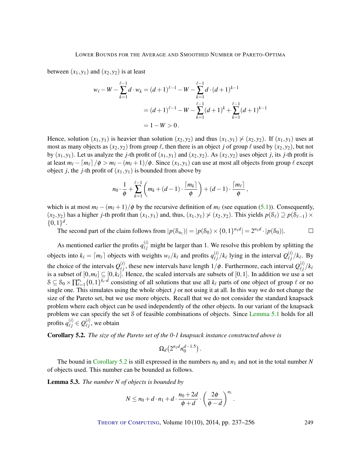between  $(x_1, y_1)$  and  $(x_2, y_2)$  is at least

$$
w_{\ell} - W - \sum_{k=1}^{\ell-1} d \cdot w_k = (d+1)^{\ell-1} - W - \sum_{k=1}^{\ell-1} d \cdot (d+1)^{k-1}
$$
  
=  $(d+1)^{\ell-1} - W - \sum_{k=1}^{\ell-1} (d+1)^k + \sum_{k=1}^{\ell-1} (d+1)^{k-1}$   
=  $1 - W > 0$ .

Hence, solution  $(x_1, y_1)$  is heavier than solution  $(x_2, y_2)$  and thus  $(x_1, y_1) \nsim (x_2, y_2)$ . If  $(x_1, y_1)$  uses at most as many objects as  $(x_2, y_2)$  from group  $\ell$ , then there is an object *j* of group  $\ell$  used by  $(x_2, y_2)$ , but not by  $(x_1, y_1)$ . Let us analyze the *j*-th profit of  $(x_1, y_1)$  and  $(x_2, y_2)$ . As  $(x_2, y_2)$  uses object *j*, its *j*-th profit is at least  $m_\ell - [m_\ell]/\phi > m_\ell - (m_\ell + 1)/\phi$ . Since  $(x_1, y_1)$  can use at most all objects from group  $\ell$  except object *j*, the *j*-th profit of  $(x_1, y_1)$  is bounded from above by

$$
n_0\cdot\frac{1}{\phi}+\sum_{k=1}^{\ell-1}\left(m_k+(d-1)\cdot\frac{\lceil m_k\rceil}{\phi}\right)+(d-1)\cdot\frac{\lceil m_\ell\rceil}{\phi},
$$

which is at most  $m_\ell - (m_\ell + 1)/\phi$  by the recursive definition of  $m_\ell$  (see equation [\(5.1\)](#page-11-0)). Consequently,  $(x_2, y_2)$  has a higher *j*-th profit than  $(x_1, y_1)$  and, thus,  $(x_1, y_1) \nsucc (x_2, y_2)$ . This yields  $p(\mathcal{S}_\ell) \supseteq p(\mathcal{S}_{\ell-1}) \times$  $\{0,1\}^d$ .

The second part of the claim follows from  $|p(\mathcal{S}_{n_1})| = |p(\mathcal{S}_0) \times \{0,1\}^{n_1 d}| = 2^{n_1 d} \cdot |p(\mathcal{S}_0)|$ .  $\Box$ 

As mentioned earlier the profits  $q_{\ell j}^{(i)}$  might be larger than 1. We resolve this problem by splitting the objects into  $k_{\ell} = \lceil m_{\ell} \rceil$  objects with weights  $w_{\ell}/k_{\ell}$  and profits  $q_{\ell i}^{(i)}$  $\frac{\binom{i}{\ell}}{\ell_j}$ / $k_{\ell}$  lying in the interval  $Q_{\ell j}^{(i)}$  $\binom{v}{\ell j}$ / $k_{\ell}$ . By the choice of the intervals  $Q_{\ell}^{(i)}$  $\ell_{\ell}^{(i)}$ , these new intervals have length  $1/\phi$ . Furthermore, each interval  $Q_{\ell}^{(i)}$  $\binom{l}{\ell j}/k_\ell$ is a subset of  $[0,m_\ell] \subseteq [0,k_\ell]$ . Hence, the scaled intervals are subsets of  $[0,1]$ . In addition we use a set  $S \subseteq S_0 \times \prod_{\ell=1}^{n_1} \{0,1\}^{k_{\ell} \cdot d}$  consisting of all solutions that use all  $k_{\ell}$  parts of one object of group  $\ell$  or no single one. This simulates using the whole object *j* or not using it at all. In this way we do not change the size of the Pareto set, but we use more objects. Recall that we do not consider the standard knapsack problem where each object can be used independently of the other objects. In our variant of the knapsack problem we can specify the set S of feasible combinations of objects. Since [Lemma](#page-11-1) [5.1](#page-11-1) holds for all profits  $q_{\ell j}^{(i)} \in \mathcal{Q}_{\ell j}^{(i)}$  $\binom{v}{j}$ , we obtain

<span id="page-12-0"></span>Corollary 5.2. *The size of the Pareto set of the 0-1 knapsack instance constructed above is*

$$
\Omega_d\big(2^{n_1d}n_0^{d-1.5}\big)\,.
$$

The bound in [Corollary](#page-12-0) [5.2](#page-12-0) is still expressed in the numbers  $n_0$  and  $n_1$  and not in the total number N of objects used. This number can be bounded as follows.

<span id="page-12-1"></span>Lemma 5.3. *The number N of objects is bounded by*

$$
N \leq n_0 + d \cdot n_1 + d \cdot \frac{n_0 + 2d}{\phi + d} \cdot \left(\frac{2\phi}{\phi - d}\right)^{n_1}.
$$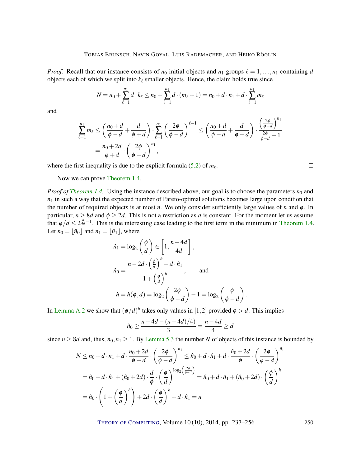*Proof.* Recall that our instance consists of  $n_0$  initial objects and  $n_1$  groups  $\ell = 1, \ldots, n_1$  containing *d* objects each of which we split into  $k_\ell$  smaller objects. Hence, the claim holds true since

$$
N = n_0 + \sum_{\ell=1}^{n_1} d \cdot k_{\ell} \le n_0 + \sum_{\ell=1}^{n_1} d \cdot (m_{\ell} + 1) = n_0 + d \cdot n_1 + d \cdot \sum_{\ell=1}^{n_1} m_{\ell}
$$

and

$$
\sum_{\ell=1}^{n_1} m_{\ell} \le \left(\frac{n_0+d}{\phi-d}+\frac{d}{\phi+d}\right) \cdot \sum_{\ell=1}^{n_1} \left(\frac{2\phi}{\phi-d}\right)^{\ell-1} \le \left(\frac{n_0+d}{\phi-d}+\frac{d}{\phi-d}\right) \cdot \frac{\left(\frac{2\phi}{\phi-d}\right)^{n_1}}{\frac{2\phi}{\phi-d}-1}
$$

$$
=\frac{n_0+2d}{\phi+d} \cdot \left(\frac{2\phi}{\phi-d}\right)^{n_1},
$$

where the first inequality is due to the explicit formula  $(5.2)$  of  $m_\ell$ .

 $\Box$ 

Now we can prove [Theorem](#page-5-0) [1.4.](#page-5-0)

*Proof of [Theorem](#page-5-0) [1.4.](#page-5-0)* Using the instance described above, our goal is to choose the parameters  $n_0$  and  $n_1$  in such a way that the expected number of Pareto-optimal solutions becomes large upon condition that the number of required objects is at most *n*. We only consider sufficiently large values of *n* and  $\phi$ . In particular,  $n \ge 8d$  and  $\phi \ge 2d$ . This is not a restriction as *d* is constant. For the moment let us assume that  $\phi/d \leq 2^{\frac{n}{4d}-1}$ . This is the interesting case leading to the first term in the minimum in [Theorem](#page-5-0) [1.4.](#page-5-0) Let  $n_0 = |\hat{n}_0|$  and  $n_1 = |\hat{n}_1|$ , where

$$
\hat{n}_1 = \log_2\left(\frac{\phi}{d}\right) \in \left[1, \frac{n-4d}{4d}\right],
$$
\n
$$
\hat{n}_0 = \frac{n - 2d \cdot \left(\frac{\phi}{d}\right)^h - d \cdot \hat{n}_1}{1 + \left(\frac{\phi}{d}\right)^h}, \quad \text{and}
$$
\n
$$
h = h(\phi, d) = \log_2\left(\frac{2\phi}{\phi - d}\right) - 1 = \log_2\left(\frac{\phi}{\phi - d}\right)
$$

In [Lemma](#page-16-3) [A.2](#page-16-3) we show that  $(\phi/d)^h$  takes only values in [1,2] provided  $\phi > d$ . This implies

$$
\hat{n}_0 \ge \frac{n - 4d - (n - 4d)/4)}{3} = \frac{n - 4d}{4} \ge d
$$

.

since  $n \geq 8d$  and, thus,  $n_0, n_1 \geq 1$ . By [Lemma](#page-12-1) [5.3](#page-12-1) the number *N* of objects of this instance is bounded by

$$
N \le n_0 + d \cdot n_1 + d \cdot \frac{n_0 + 2d}{\phi + d} \cdot \left(\frac{2\phi}{\phi - d}\right)^{n_1} \le \hat{n}_0 + d \cdot \hat{n}_1 + d \cdot \frac{\hat{n}_0 + 2d}{\phi} \cdot \left(\frac{2\phi}{\phi - d}\right)^{\hat{n}_1}
$$
  
=  $\hat{n}_0 + d \cdot \hat{n}_1 + (\hat{n}_0 + 2d) \cdot \frac{d}{\phi} \cdot \left(\frac{\phi}{d}\right)^{\log_2\left(\frac{2\phi}{\phi - d}\right)} = \hat{n}_0 + d \cdot \hat{n}_1 + (\hat{n}_0 + 2d) \cdot \left(\frac{\phi}{d}\right)^h$   
=  $\hat{n}_0 \cdot \left(1 + \left(\frac{\phi}{d}\right)^h\right) + 2d \cdot \left(\frac{\phi}{d}\right)^h + d \cdot \hat{n}_1 = n$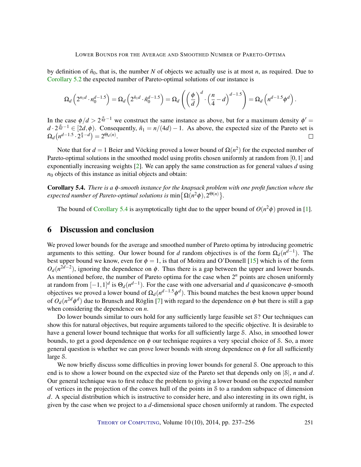<span id="page-14-1"></span>by definition of  $\hat{n}_0$ , that is, the number *N* of objects we actually use is at most *n*, as required. Due to [Corollary](#page-12-0) [5.2](#page-12-0) the expected number of Pareto-optimal solutions of our instance is

$$
\Omega_d\left(2^{n_1d}\cdot n_0^{d-1.5}\right) = \Omega_d\left(2^{\hat{n}_1d}\cdot \hat{n}_0^{d-1.5}\right) = \Omega_d\left(\left(\frac{\phi}{d}\right)^d\cdot \left(\frac{n}{4}-d\right)^{d-1.5}\right) = \Omega_d\left(n^{d-1.5}\phi^d\right)
$$

In the case  $\phi/d > 2^{\frac{n}{4d}-1}$  we construct the same instance as above, but for a maximum density  $\phi' =$  $d \cdot 2^{\frac{n}{4d}-1} \in [2d, \phi)$ . Consequently,  $\hat{n}_1 = n/(4d) - 1$ . As above, the expected size of the Pareto set is  $\Omega_d(n^{d-1.5} \cdot 2^{\frac{n}{4}-d}) = 2^{\Theta_d(n)}.$  $\Box$ 

Note that for  $d = 1$  Beier and Vöcking proved a lower bound of  $\Omega(n^2)$  for the expected number of Pareto-optimal solutions in the smoothed model using profits chosen uniformly at random from [0,1] and exponentially increasing weights [\[2\]](#page-16-1). We can apply the same construction as for general values *d* using  $n_0$  objects of this instance as initial objects and obtain:

<span id="page-14-0"></span>Corollary 5.4. *There is a* φ*-smooth instance for the knapsack problem with one profit function where the expected number of Pareto-optimal solutions is*  $\min\bigl\{\Omega(n^2\phi), 2^{\Theta(n)}\bigr\}.$ 

The bound of [Corollary](#page-14-0) [5.4](#page-14-0) is asymptotically tight due to the upper bound of  $O(n^2\phi)$  proved in [\[1\]](#page-16-2).

## 6 Discussion and conclusion

We proved lower bounds for the average and smoothed number of Pareto optima by introducing geometric arguments to this setting. Our lower bound for *d* random objectives is of the form  $\Omega_d(n^{d-1})$ . The best upper bound we know, even for  $\phi = 1$ , is that of Moitra and O'Donnell [\[15\]](#page-17-3) which is of the form  $O_d(n^{2d-2})$ , ignoring the dependence on  $\phi$ . Thus there is a gap between the upper and lower bounds. As mentioned before, the number of Pareto optima for the case when  $2^n$  points are chosen uniformly at random from  $[-1,1]^d$  is  $\Theta_d(n^{d-1})$ . For the case with one adversarial and *d* quasiconcave  $\phi$ -smooth objectives we proved a lower bound of  $\Omega_d(n^{d-1.5}\phi^d)$ . This bound matches the best known upper bound of  $O_d(n^{2d}\phi^d)$  due to Brunsch and Röglin [\[7\]](#page-17-6) with regard to the dependence on  $\phi$  but there is still a gap when considering the dependence on *n*.

Do lower bounds similar to ours hold for any sufficiently large feasible set S? Our techniques can show this for natural objectives, but require arguments tailored to the specific objective. It is desirable to have a general lower bound technique that works for all sufficiently large S. Also, in smoothed lower bounds, to get a good dependence on  $\phi$  our technique requires a very special choice of S. So, a more general question is whether we can prove lower bounds with strong dependence on  $\phi$  for all sufficiently large S.

We now briefly discuss some difficulties in proving lower bounds for general S. One approach to this end is to show a lower bound on the expected size of the Pareto set that depends only on |S|, *n* and *d*. Our general technique was to first reduce the problem to giving a lower bound on the expected number of vertices in the projection of the convex hull of the points in S to a random subspace of dimension *d*. A special distribution which is instructive to consider here, and also interesting in its own right, is given by the case when we project to a *d*-dimensional space chosen uniformly at random. The expected

THEORY OF C[OMPUTING](http://dx.doi.org/10.4086/toc), Volume 10 (10), 2014, pp. 237–256 251

.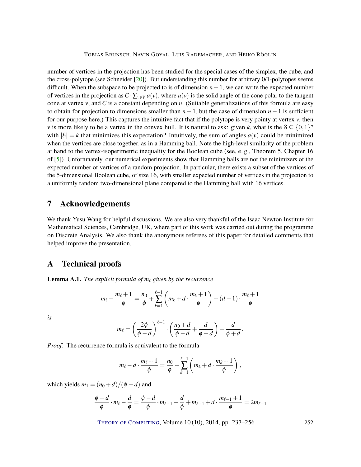<span id="page-15-1"></span>number of vertices in the projection has been studied for the special cases of the simplex, the cube, and the cross-polytope (see Schneider  $[20]$ ). But understanding this number for arbitrary  $0/1$ -polytopes seems difficult. When the subspace to be projected to is of dimension *n*−1, we can write the expected number of vertices in the projection as  $C \cdot \sum_{v \in V} a(v)$ , where  $a(v)$  is the solid angle of the cone polar to the tangent cone at vertex *v*, and *C* is a constant depending on *n*. (Suitable generalizations of this formula are easy to obtain for projection to dimensions smaller than *n*−1, but the case of dimension *n*−1 is sufficient for our purpose here.) This captures the intuitive fact that if the polytope is very pointy at vertex *v*, then *v* is more likely to be a vertex in the convex hull. It is natural to ask: given *k*, what is the  $S \subseteq \{0,1\}^n$ with  $|S| = k$  that minimizes this expectation? Intuitively, the sum of angles  $a(v)$  could be minimized when the vertices are close together, as in a Hamming ball. Note the high-level similarity of the problem at hand to the vertex-isoperimetric inequality for the Boolean cube (see, e. g., Theorem 5, Chapter 16 of [\[5\]](#page-17-12)). Unfortunately, our numerical experiments show that Hamming balls are not the minimizers of the expected number of vertices of a random projection. In particular, there exists a subset of the vertices of the 5-dimensional Boolean cube, of size 16, with smaller expected number of vertices in the projection to a uniformly random two-dimensional plane compared to the Hamming ball with 16 vertices.

## 7 Acknowledgements

We thank Yusu Wang for helpful discussions. We are also very thankful of the Isaac Newton Institute for Mathematical Sciences, Cambridge, UK, where part of this work was carried out during the programme on Discrete Analysis. We also thank the anonymous referees of this paper for detailed comments that helped improve the presentation.

# A Technical proofs

<span id="page-15-0"></span>**Lemma A.1.** *The explicit formula of*  $m_\ell$  *given by the recurrence* 

$$
m_{\ell} - \frac{m_{\ell}+1}{\phi} = \frac{n_0}{\phi} + \sum_{k=1}^{\ell-1} \left( m_k + d \cdot \frac{m_k+1}{\phi} \right) + (d-1) \cdot \frac{m_{\ell}+1}{\phi}
$$

*is*

$$
m_{\ell} = \left(\frac{2\phi}{\phi - d}\right)^{\ell-1} \cdot \left(\frac{n_0 + d}{\phi - d} + \frac{d}{\phi + d}\right) - \frac{d}{\phi + d}.
$$

*Proof.* The recurrence formula is equivalent to the formula

$$
m_{\ell}-d\cdot\frac{m_{\ell}+1}{\phi}=\frac{n_0}{\phi}+\sum_{k=1}^{\ell-1}\left(m_k+d\cdot\frac{m_k+1}{\phi}\right),
$$

which yields  $m_1 = (n_0 + d)/(\phi - d)$  and

$$
\frac{\phi-d}{\phi}\cdot m_\ell-\frac{d}{\phi}=\frac{\phi-d}{\phi}\cdot m_{\ell-1}-\frac{d}{\phi}+m_{\ell-1}+d\cdot\frac{m_{\ell-1}+1}{\phi}=2m_{\ell-1}
$$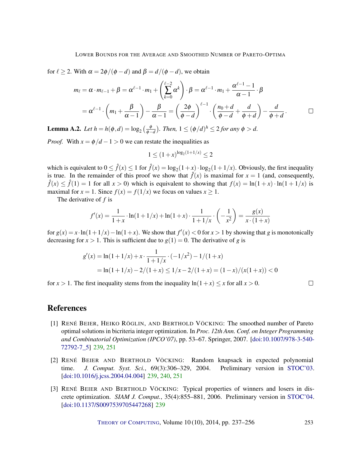for  $\ell \ge 2$ . With  $\alpha = 2\phi/(\phi - d)$  and  $\beta = d/(\phi - d)$ , we obtain

$$
m_{\ell} = \alpha \cdot m_{\ell-1} + \beta = \alpha^{\ell-1} \cdot m_1 + \left(\sum_{k=0}^{\ell-2} \alpha^k\right) \cdot \beta = \alpha^{\ell-1} \cdot m_1 + \frac{\alpha^{\ell-1}-1}{\alpha-1} \cdot \beta
$$
  
=  $\alpha^{\ell-1} \cdot \left(m_1 + \frac{\beta}{\alpha-1}\right) - \frac{\beta}{\alpha-1} = \left(\frac{2\phi}{\phi-d}\right)^{\ell-1} \cdot \left(\frac{n_0+d}{\phi-d} + \frac{d}{\phi+d}\right) - \frac{d}{\phi+d}.$ 

<span id="page-16-3"></span>**Lemma A.2.** *Let*  $h = h(\phi, d) = \log_2(\frac{\phi}{\phi - d})$ *. Then,*  $1 \leq (\phi/d)^h \leq 2$  *for any*  $\phi > d$ *.* 

*Proof.* With  $x = \phi/d - 1 > 0$  we can restate the inequalities as

$$
1 \le (1+x)^{\log_2(1+1/x)} \le 2
$$

which is equivalent to  $0 \le \hat{f}(x) \le 1$  for  $\hat{f}(x) = \log_2(1+x) \cdot \log_2(1+1/x)$ . Obviously, the first inequality is true. In the remainder of this proof we show that  $\hat{f}(x)$  is maximal for  $x = 1$  (and, consequently,  $\hat{f}(x) \leq \hat{f}(1) = 1$  for all  $x > 0$ ) which is equivalent to showing that  $f(x) = \ln(1+x) \cdot \ln(1+1/x)$  is maximal for  $x = 1$ . Since  $f(x) = f(1/x)$  we focus on values  $x \ge 1$ .

The derivative of *f* is

$$
f'(x) = \frac{1}{1+x} \cdot \ln(1+1/x) + \ln(1+x) \cdot \frac{1}{1+1/x} \cdot \left(-\frac{1}{x^2}\right) = \frac{g(x)}{x \cdot (1+x)}
$$

for  $g(x) = x \cdot \ln(1+1/x) - \ln(1+x)$ . We show that  $f'(x) < 0$  for  $x > 1$  by showing that *g* is monotonically decreasing for  $x > 1$ . This is sufficient due to  $g(1) = 0$ . The derivative of *g* is

$$
g'(x) = \ln(1+1/x) + x \cdot \frac{1}{1+1/x} \cdot (-1/x^2) - 1/(1+x)
$$
  
=  $\ln(1+1/x) - 2/(1+x) \le 1/x - 2/(1+x) = (1-x)/(x(1+x)) < 0$ 

for  $x > 1$ . The first inequality stems from the inequality  $\ln(1+x) \leq x$  for all  $x > 0$ .

#### $\Box$

## References

- <span id="page-16-2"></span>[1] RENÉ BEIER, HEIKO RÖGLIN, AND BERTHOLD VÖCKING: The smoothed number of Pareto optimal solutions in bicriteria integer optimization. In *Proc. 12th Ann. Conf. on Integer Programming and Combinatorial Optimization (IPCO'07)*, pp. 53–67. Springer, 2007. [\[doi:10.1007/978-3-540-](http://dx.doi.org/10.1007/978-3-540-72792-7_5) [72792-7\\_5\]](http://dx.doi.org/10.1007/978-3-540-72792-7_5) [239,](#page-2-0) [251](#page-14-1)
- <span id="page-16-1"></span>[2] RENÉ BEIER AND BERTHOLD VÖCKING: Random knapsack in expected polynomial time. *J. Comput. Syst. Sci.*, 69(3):306–329, 2004. Preliminary version in [STOC'03.](http://dx.doi.org/10.1145/780542.780578) [\[doi:10.1016/j.jcss.2004.04.004\]](http://dx.doi.org/10.1016/j.jcss.2004.04.004) [239,](#page-2-0) [240,](#page-3-1) [251](#page-14-1)
- <span id="page-16-0"></span>[3] RENÉ BEIER AND BERTHOLD VÖCKING: Typical properties of winners and losers in discrete optimization. *SIAM J. Comput.*, 35(4):855–881, 2006. Preliminary version in [STOC'04.](http://dx.doi.org/10.1145/1007352.1007409) [\[doi:10.1137/S0097539705447268\]](http://dx.doi.org/10.1137/S0097539705447268) [239](#page-2-0)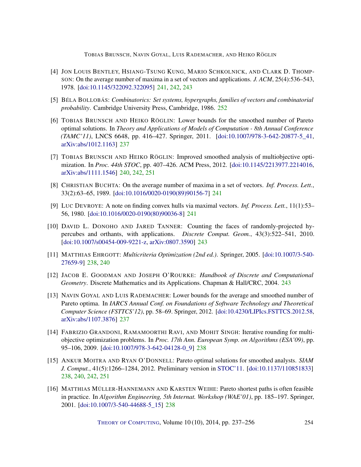- <span id="page-17-7"></span>[4] JON LOUIS BENTLEY, HSIANG-TSUNG KUNG, MARIO SCHKOLNICK, AND CLARK D. THOMP-SON: On the average number of maxima in a set of vectors and applications. *J. ACM*, 25(4):536–543, 1978. [\[doi:10.1145/322092.322095\]](http://dx.doi.org/10.1145/322092.322095) [241,](#page-4-2) [242,](#page-5-2) [243](#page-6-2)
- <span id="page-17-12"></span>[5] BÉLA BOLLOBÁS: *Combinatorics: Set systems, hypergraphs, families of vectors and combinatorial probability*. Cambridge University Press, Cambridge, 1986. [252](#page-15-1)
- <span id="page-17-0"></span>[6] TOBIAS BRUNSCH AND HEIKO RÖGLIN: Lower bounds for the smoothed number of Pareto optimal solutions. In *Theory and Applications of Models of Computation - 8th Annual Conference (TAMC'11)*, LNCS 6648, pp. 416–427. Springer, 2011. [\[doi:10.1007/978-3-642-20877-5\\_41,](http://dx.doi.org/10.1007/978-3-642-20877-5_41) [arXiv:abs/1012.1163\]](http://arxiv.org/abs/abs/1012.1163) [237](#page-0-0)
- <span id="page-17-6"></span>[7] TOBIAS BRUNSCH AND HEIKO RÖGLIN: Improved smoothed analysis of multiobjective optimization. In *Proc. 44th STOC*, pp. 407–426. ACM Press, 2012. [\[doi:10.1145/2213977.2214016,](http://dx.doi.org/10.1145/2213977.2214016) [arXiv:abs/1111.1546\]](http://arxiv.org/abs/abs/1111.1546) [240,](#page-3-1) [242,](#page-5-2) [251](#page-14-1)
- <span id="page-17-9"></span>[8] CHRISTIAN BUCHTA: On the average number of maxima in a set of vectors. *Inf. Process. Lett.*, 33(2):63–65, 1989. [\[doi:10.1016/0020-0190\(89\)90156-7\]](http://dx.doi.org/10.1016/0020-0190(89)90156-7) [241](#page-4-2)
- <span id="page-17-8"></span>[9] LUC DEVROYE: A note on finding convex hulls via maximal vectors. *Inf. Process. Lett.*, 11(1):53– 56, 1980. [\[doi:10.1016/0020-0190\(80\)90036-8\]](http://dx.doi.org/10.1016/0020-0190(80)90036-8) [241](#page-4-2)
- <span id="page-17-10"></span>[10] DAVID L. DONOHO AND JARED TANNER: Counting the faces of randomly-projected hypercubes and orthants, with applications. *Discrete Comput. Geom.*, 43(3):522–541, 2010. [\[doi:10.1007/s00454-009-9221-z,](http://dx.doi.org/10.1007/s00454-009-9221-z) [arXiv:0807.3590\]](http://arxiv.org/abs/0807.3590) [243](#page-6-2)
- <span id="page-17-4"></span>[11] MATTHIAS EHRGOTT: *Multicriteria Optimization (2nd ed.)*. Springer, 2005. [\[doi:10.1007/3-540-](http://dx.doi.org/10.1007/3-540-27659-9) [27659-9\]](http://dx.doi.org/10.1007/3-540-27659-9) [238,](#page-1-1) [240](#page-3-1)
- <span id="page-17-11"></span>[12] JACOB E. GOODMAN AND JOSEPH O'ROURKE: *Handbook of Discrete and Computational Geometry*. Discrete Mathematics and its Applications. Chapman & Hall/CRC, 2004. [243](#page-6-2)
- <span id="page-17-1"></span>[13] NAVIN GOYAL AND LUIS RADEMACHER: Lower bounds for the average and smoothed number of Pareto optima. In *IARCS Annual Conf. on Foundations of Software Technology and Theoretical Computer Science (FSTTCS'12)*, pp. 58–69. Springer, 2012. [\[doi:10.4230/LIPIcs.FSTTCS.2012.58,](http://dx.doi.org/10.4230/LIPIcs.FSTTCS.2012.58) [arXiv:abs/1107.3876\]](http://arxiv.org/abs/abs/1107.3876) [237](#page-0-0)
- <span id="page-17-2"></span>[14] FABRIZIO GRANDONI, RAMAMOORTHI RAVI, AND MOHIT SINGH: Iterative rounding for multiobjective optimization problems. In *Proc. 17th Ann. European Symp. on Algorithms (ESA'09)*, pp. 95–106, 2009. [\[doi:10.1007/978-3-642-04128-0\\_9\]](http://dx.doi.org/10.1007/978-3-642-04128-0_9) [238](#page-1-1)
- <span id="page-17-3"></span>[15] ANKUR MOITRA AND RYAN O'DONNELL: Pareto optimal solutions for smoothed analysts. *SIAM J. Comput.*, 41(5):1266–1284, 2012. Preliminary version in [STOC'11.](http://dx.doi.org/10.1145/1993636.1993667) [\[doi:10.1137/110851833\]](http://dx.doi.org/10.1137/110851833) [238,](#page-1-1) [240,](#page-3-1) [242,](#page-5-2) [251](#page-14-1)
- <span id="page-17-5"></span>[16] MATTHIAS MÜLLER-HANNEMANN AND KARSTEN WEIHE: Pareto shortest paths is often feasible in practice. In *Algorithm Engineering, 5th Internat. Workshop (WAE'01)*, pp. 185–197. Springer, 2001. [\[doi:10.1007/3-540-44688-5\\_15\]](http://dx.doi.org/10.1007/3-540-44688-5_15) [238](#page-1-1)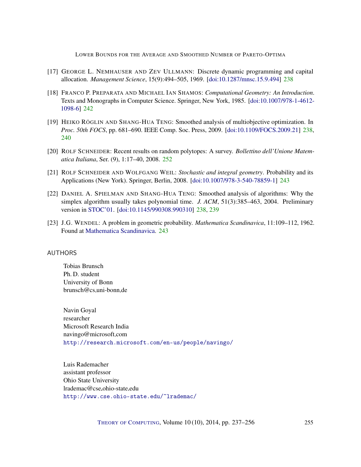- <span id="page-18-4"></span>[17] GEORGE L. NEMHAUSER AND ZEV ULLMANN: Discrete dynamic programming and capital allocation. *Management Science*, 15(9):494–505, 1969. [\[doi:10.1287/mnsc.15.9.494\]](http://dx.doi.org/10.1287/mnsc.15.9.494) [238](#page-1-1)
- <span id="page-18-6"></span>[18] FRANCO P. PREPARATA AND MICHAEL IAN SHAMOS: *Computational Geometry: An Introduction*. Texts and Monographs in Computer Science. Springer, New York, 1985. [\[doi:10.1007/978-1-4612-](http://dx.doi.org/10.1007/978-1-4612-1098-6) [1098-6\]](http://dx.doi.org/10.1007/978-1-4612-1098-6) [242](#page-5-2)
- <span id="page-18-3"></span>[19] HEIKO RÖGLIN AND SHANG-HUA TENG: Smoothed analysis of multiobjective optimization. In *Proc. 50th FOCS*, pp. 681–690. IEEE Comp. Soc. Press, 2009. [\[doi:10.1109/FOCS.2009.21\]](http://dx.doi.org/10.1109/FOCS.2009.21) [238,](#page-1-1) [240](#page-3-1)
- <span id="page-18-9"></span>[20] ROLF SCHNEIDER: Recent results on random polytopes: A survey. *Bollettino dell'Unione Matematica Italiana*, Ser. (9), 1:17–40, 2008. [252](#page-15-1)
- <span id="page-18-8"></span>[21] ROLF SCHNEIDER AND WOLFGANG WEIL: *Stochastic and integral geometry*. Probability and its Applications (New York). Springer, Berlin, 2008. [\[doi:10.1007/978-3-540-78859-1\]](http://dx.doi.org/10.1007/978-3-540-78859-1) [243](#page-6-2)
- <span id="page-18-5"></span>[22] DANIEL A. SPIELMAN AND SHANG-HUA TENG: Smoothed analysis of algorithms: Why the simplex algorithm usually takes polynomial time. *J. ACM*, 51(3):385–463, 2004. Preliminary version in [STOC'01.](http://dx.doi.org/10.1145/380752.380813) [\[doi:10.1145/990308.990310\]](http://dx.doi.org/10.1145/990308.990310) [238,](#page-1-1) [239](#page-2-0)
- <span id="page-18-7"></span>[23] J.G. WENDEL: A problem in geometric probability. *Mathematica Scandinavica*, 11:109–112, 1962. Found at [Mathematica Scandinavica.](http://www.mscand.dk/article/view/10655/8676) [243](#page-6-2)

#### <span id="page-18-0"></span>AUTHORS

Tobias Brunsch Ph. D. student University of Bonn  $brunsch@cs.uni-bonn.de$ 

<span id="page-18-1"></span>Navin Goyal researcher Microsoft Research India navingo@microsoft.com <http://research.microsoft.com/en-us/people/navingo/>

<span id="page-18-2"></span>Luis Rademacher assistant professor Ohio State University lrademac@cse.ohio-state.edu <http://www.cse.ohio-state.edu/~lrademac/>